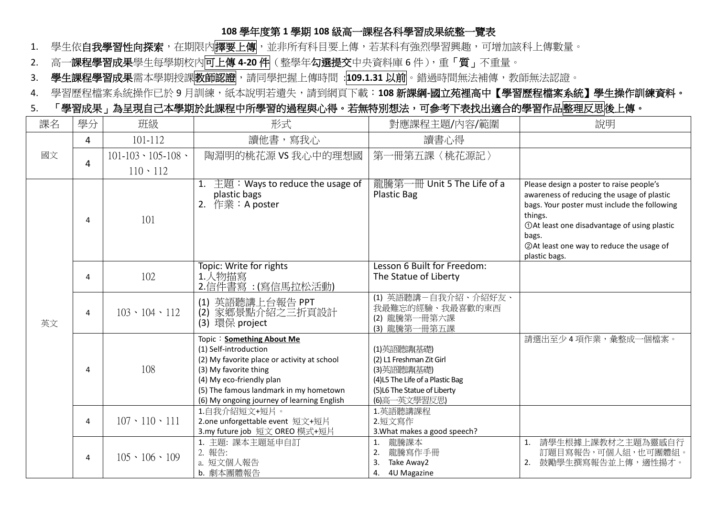## **108** 學年度第 **1** 學期 **108** 級高一課程各科學習成果統整一覽表

- 1. 學生依**自我學習性向探索**,在期限內<mark>擇要上傳</mark>,並非所有科目要上傳,若某科有強烈學習興趣,可增加該科上傳數量。
- 2. 高一課程學習成果學生每學期校內可上傳 4-20件(整學年勾選提交中央資料庫 6件),重「質」不重量。
- 3. 學生課程學習成果需本學期授課<mark>教師認證, 補同學把握上傳時間 : 109.1.31 以前</mark>。錯過時間無法補傳,教師無法認證。
- 4. 學習歷程檔案系統操作已於9月訓練,紙本說明若潰失,請到網頁下載:108 新課綱-國立苑裡高中【學習歷程檔案系統】學生操作訓練資料。

## 5. 「學習成果」為呈現自己本學期於此課程中所學習的過程與心得。若無特別想法,可參考下表找出適合的學習作品整理反思後上傳。

| 課名 | 學分 | 班級                          | 形式                                                                                                                                                                                                                                             | 對應課程主題/內容/範圍                                                                                                                             | 說明                                                                                                                                                                                                                                                                      |
|----|----|-----------------------------|------------------------------------------------------------------------------------------------------------------------------------------------------------------------------------------------------------------------------------------------|------------------------------------------------------------------------------------------------------------------------------------------|-------------------------------------------------------------------------------------------------------------------------------------------------------------------------------------------------------------------------------------------------------------------------|
| 國文 | 4  | 101-112                     | 讀他書,寫我心                                                                                                                                                                                                                                        | 讀書心得                                                                                                                                     |                                                                                                                                                                                                                                                                         |
|    | 4  | $101 - 103 \cdot 105 - 108$ | 陶淵明的桃花源 VS 我心中的理想國                                                                                                                                                                                                                             | 第一冊第五課〈桃花源記〉                                                                                                                             |                                                                                                                                                                                                                                                                         |
|    |    | $110 \cdot 112$             |                                                                                                                                                                                                                                                |                                                                                                                                          |                                                                                                                                                                                                                                                                         |
| 英文 | 4  | 101                         | 1. $\pm$ 題 : Ways to reduce the usage of<br>plastic bags<br>2. 作業: A poster                                                                                                                                                                    | 龍騰第一冊 Unit 5 The Life of a<br><b>Plastic Bag</b>                                                                                         | Please design a poster to raise people's<br>awareness of reducing the usage of plastic<br>bags. Your poster must include the following<br>things.<br>①At least one disadvantage of using plastic<br>bags.<br>2 At least one way to reduce the usage of<br>plastic bags. |
|    | 4  | 102                         | Topic: Write for rights<br>1.人物描寫<br><u>2.信件書寫 :(寫信馬拉松活動)</u>                                                                                                                                                                                  | Lesson 6 Built for Freedom:<br>The Statue of Liberty                                                                                     |                                                                                                                                                                                                                                                                         |
|    | 4  | $103 \cdot 104 \cdot 112$   | 英語聽講上台報告 PPT<br>(1)<br>家鄉景點介紹之三折頁設計<br>(2)<br>(3) 環保 project                                                                                                                                                                                   | (1) 英語聽講一自我介紹、介紹好友、<br>我最難忘的經驗、我最喜歡的東西<br>(2) 龍騰第一冊第六課<br>(3) 龍騰第一冊第五課                                                                   |                                                                                                                                                                                                                                                                         |
|    | 4  | 108                         | Topic: Something About Me<br>(1) Self-introduction<br>(2) My favorite place or activity at school<br>(3) My favorite thing<br>(4) My eco-friendly plan<br>(5) The famous landmark in my hometown<br>(6) My ongoing journey of learning English | (1)英語聽講(基礎)<br>(2) L1 Freshman Zit Girl<br>(3)英語聽講(基礎)<br>(4)L5 The Life of a Plastic Bag<br>(5)L6 The Statue of Liberty<br>(6)高一英文學習反思) | 請選出至少4項作業,彙整成一個檔案。                                                                                                                                                                                                                                                      |
|    | 4  | $107 \cdot 110 \cdot 111$   | 1.自我介紹短文+短片。<br>2.one unforgettable event 短文+短片<br>3.my future job 短文 OREO 模式+短片                                                                                                                                                               | 1.英語聽講課程<br>2.短文寫作<br>3. What makes a good speech?                                                                                       |                                                                                                                                                                                                                                                                         |
|    | 4  | $105 \cdot 106 \cdot 109$   | 1. 主題: 課本主題延申自訂<br>2. 報告:<br>a. 短文個人報告<br>b. 劇本團體報告                                                                                                                                                                                            | 龍騰課本<br>龍騰寫作手冊<br>2.<br>Take Away2<br>3.<br>4U Magazine<br>4.                                                                            | 請學生根據上課教材之主題為靈感自行<br>1.<br>訂題目寫報告,可個人組,也可團體組。<br>鼓勵學生撰寫報告並上傳,適性揚才。<br>2.                                                                                                                                                                                                |